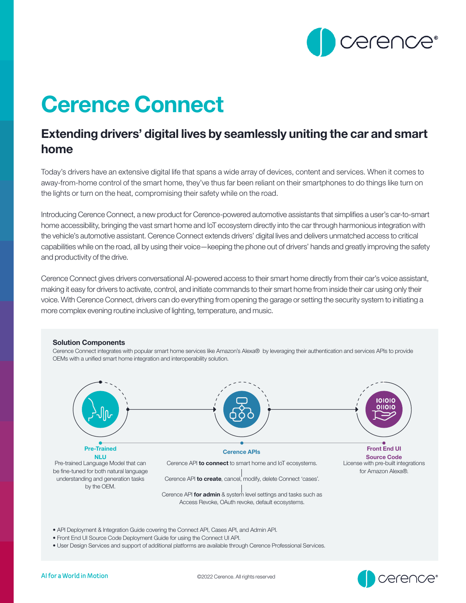

## Cerence Connect

## Extending drivers' digital lives by seamlessly uniting the car and smart home

Today's drivers have an extensive digital life that spans a wide array of devices, content and services. When it comes to away-from-home control of the smart home, they've thus far been reliant on their smartphones to do things like turn on the lights or turn on the heat, compromising their safety while on the road.

Introducing Cerence Connect, a new product for Cerence-powered automotive assistants that simplifies a user's car-to-smart home accessibility, bringing the vast smart home and IoT ecosystem directly into the car through harmonious integration with the vehicle's automotive assistant. Cerence Connect extends drivers' digital lives and delivers unmatched access to critical capabilities while on the road, all by using their voice—keeping the phone out of drivers' hands and greatly improving the safety and productivity of the drive.

Cerence Connect gives drivers conversational AI-powered access to their smart home directly from their car's voice assistant, making it easy for drivers to activate, control, and initiate commands to their smart home from inside their car using only their voice. With Cerence Connect, drivers can do everything from opening the garage or setting the security system to initiating a more complex evening routine inclusive of lighting, temperature, and music.

## Solution Components

Cerence Connect integrates with popular smart home services like Amazon's Alexa® by leveraging their authentication and services APIs to provide OEMs with a unified smart home integration and interoperability solution.



- API Deployment & Integration Guide covering the Connect API, Cases API, and Admin API.
- Front End UI Source Code Deployment Guide for using the Connect UI API.
- User Design Services and support of additional platforms are available through Cerence Professional Services.